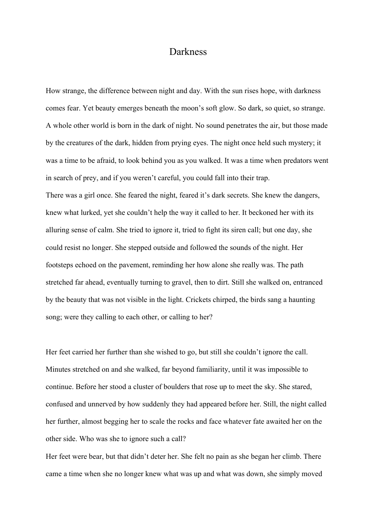## Darkness

How strange, the difference between night and day. With the sun rises hope, with darkness comes fear. Yet beauty emerges beneath the moon's soft glow. So dark, so quiet, so strange. A whole other world is born in the dark of night. No sound penetrates the air, but those made by the creatures of the dark, hidden from prying eyes. The night once held such mystery; it was a time to be afraid, to look behind you as you walked. It was a time when predators went in search of prey, and if you weren't careful, you could fall into their trap. There was a girl once. She feared the night, feared it's dark secrets. She knew the dangers, knew what lurked, yet she couldn't help the way it called to her. It beckoned her with its alluring sense of calm. She tried to ignore it, tried to fight its siren call; but one day, she could resist no longer. She stepped outside and followed the sounds of the night. Her footsteps echoed on the pavement, reminding her how alone she really was. The path stretched far ahead, eventually turning to gravel, then to dirt. Still she walked on, entranced by the beauty that was not visible in the light. Crickets chirped, the birds sang a haunting song; were they calling to each other, or calling to her?

Her feet carried her further than she wished to go, but still she couldn't ignore the call. Minutes stretched on and she walked, far beyond familiarity, until it was impossible to continue. Before her stood a cluster of boulders that rose up to meet the sky. She stared, confused and unnerved by how suddenly they had appeared before her. Still, the night called her further, almost begging her to scale the rocks and face whatever fate awaited her on the other side. Who was she to ignore such a call?

Her feet were bear, but that didn't deter her. She felt no pain as she began her climb. There came a time when she no longer knew what was up and what was down, she simply moved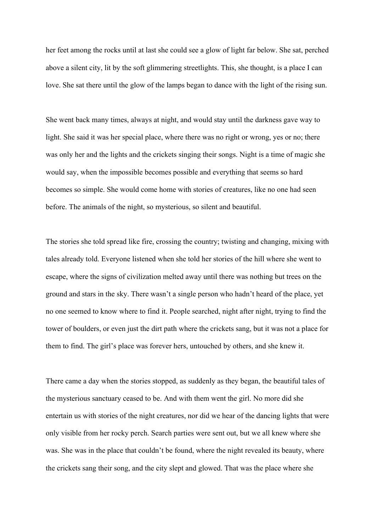her feet among the rocks until at last she could see a glow of light far below. She sat, perched above a silent city, lit by the soft glimmering streetlights. This, she thought, is a place I can love. She sat there until the glow of the lamps began to dance with the light of the rising sun.

She went back many times, always at night, and would stay until the darkness gave way to light. She said it was her special place, where there was no right or wrong, yes or no; there was only her and the lights and the crickets singing their songs. Night is a time of magic she would say, when the impossible becomes possible and everything that seems so hard becomes so simple. She would come home with stories of creatures, like no one had seen before. The animals of the night, so mysterious, so silent and beautiful.

The stories she told spread like fire, crossing the country; twisting and changing, mixing with tales already told. Everyone listened when she told her stories of the hill where she went to escape, where the signs of civilization melted away until there was nothing but trees on the ground and stars in the sky. There wasn't a single person who hadn't heard of the place, yet no one seemed to know where to find it. People searched, night after night, trying to find the tower of boulders, or even just the dirt path where the crickets sang, but it was not a place for them to find. The girl's place was forever hers, untouched by others, and she knew it.

There came a day when the stories stopped, as suddenly as they began, the beautiful tales of the mysterious sanctuary ceased to be. And with them went the girl. No more did she entertain us with stories of the night creatures, nor did we hear of the dancing lights that were only visible from her rocky perch. Search parties were sent out, but we all knew where she was. She was in the place that couldn't be found, where the night revealed its beauty, where the crickets sang their song, and the city slept and glowed. That was the place where she